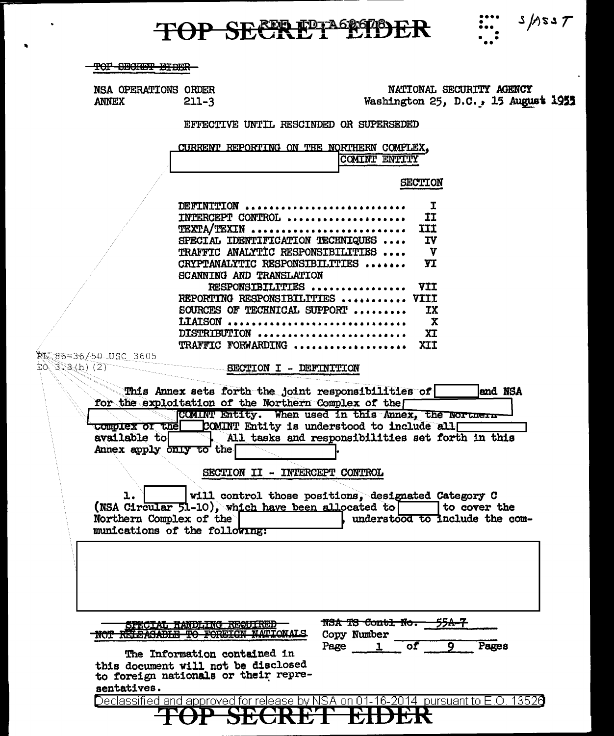# TOP SECRET EDER :: S/ASST

 $\ddot{\phantom{a}}$ 

 $\bullet$ 

| <del>TOF SECRET EIDEN</del><br>NSA OPERATIONS ORDER<br><b>ANNEX</b> | $211 - 3$<br>EFFECTIVE UNTIL RESCINDED OR SUPERSEDED<br>CURRENT REPORTING ON THE NORTHERN COMPLEX,<br>DEFINITION | NATIONAL SECURITY AGENCY<br>Washington $25$ , D.C., 15 August 1955<br>COMINT ENTITY<br><b>SECTION</b>                                                                 |  |
|---------------------------------------------------------------------|------------------------------------------------------------------------------------------------------------------|-----------------------------------------------------------------------------------------------------------------------------------------------------------------------|--|
|                                                                     |                                                                                                                  |                                                                                                                                                                       |  |
|                                                                     |                                                                                                                  |                                                                                                                                                                       |  |
|                                                                     |                                                                                                                  |                                                                                                                                                                       |  |
|                                                                     |                                                                                                                  |                                                                                                                                                                       |  |
|                                                                     |                                                                                                                  |                                                                                                                                                                       |  |
|                                                                     |                                                                                                                  |                                                                                                                                                                       |  |
|                                                                     |                                                                                                                  |                                                                                                                                                                       |  |
|                                                                     |                                                                                                                  |                                                                                                                                                                       |  |
|                                                                     |                                                                                                                  |                                                                                                                                                                       |  |
|                                                                     | INTERCEPT CONTROL                                                                                                | I<br>ΙI                                                                                                                                                               |  |
|                                                                     | TEXTA/TEXIN                                                                                                      | <b>III</b>                                                                                                                                                            |  |
|                                                                     | SPECIAL IDENTIFICATION TECHNIQUES                                                                                | <b>IV</b>                                                                                                                                                             |  |
|                                                                     | TRAFFIC ANALYTIC RESPONSIBILITIES<br>CRYPTANALYTIC RESPONSIBILITIES                                              | $\mathbf{v}$<br>YI                                                                                                                                                    |  |
|                                                                     | SCANNING AND TRANSLATION                                                                                         |                                                                                                                                                                       |  |
|                                                                     | RESPONSIBILITIES                                                                                                 | <b>VII</b>                                                                                                                                                            |  |
|                                                                     | REPORTING RESPONSIBILITIES  VIII<br>SOURCES OF TECHNICAL SUPPORT                                                 | <b>IX</b>                                                                                                                                                             |  |
|                                                                     | LIAISON                                                                                                          | X                                                                                                                                                                     |  |
|                                                                     | DISTRIBUTION                                                                                                     | XI                                                                                                                                                                    |  |
|                                                                     | TRAFFIC FORWARDING<br>EL 86-36/50 USC 3605 BECTION I - DEFINITION                                                | XII                                                                                                                                                                   |  |
| available to<br>Annex apply only to the                             | for the exploitation of the Northern Complex of the                                                              | COMINT Entity. When used in this Annex, the Northern<br>complex or the COMINT Entity is understood to include all<br>All tasks and responsibilities set forth in this |  |
|                                                                     | SECTION II - INTERCEPT CONTROL                                                                                   |                                                                                                                                                                       |  |
|                                                                     |                                                                                                                  |                                                                                                                                                                       |  |
| ı.                                                                  | (NSA Circular 51-10), which have been allocated to                                                               | will control those positions, designated Category C<br>to cover the                                                                                                   |  |
| Northern Complex of the                                             |                                                                                                                  | understood to include the com-                                                                                                                                        |  |
|                                                                     | munications of the following:                                                                                    |                                                                                                                                                                       |  |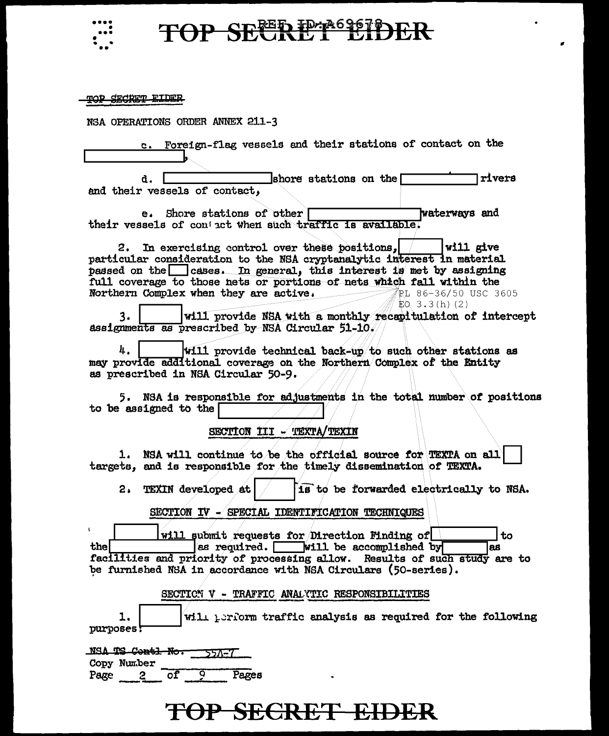

## TOP SEERET EIDER

×

| <u>drabro RIDE</u>                                                                                                                                                                                                                                                                                                                                          |
|-------------------------------------------------------------------------------------------------------------------------------------------------------------------------------------------------------------------------------------------------------------------------------------------------------------------------------------------------------------|
| NSA OPERATIONS ORDER ANNEX 211-3                                                                                                                                                                                                                                                                                                                            |
| Foreign-flag vessels and their stations of contact on the<br>$\mathbf{c}$ .                                                                                                                                                                                                                                                                                 |
| rivers<br>shore stations on the $\lceil$<br>d.<br>and their vessels of contact,                                                                                                                                                                                                                                                                             |
| waterways and<br>e. Shore stations of other<br>their vessels of contact when such traffic is available.                                                                                                                                                                                                                                                     |
| In exercising control over these positions,<br>$ $ will give<br>2.<br>particular consideration to the NSA cryptanalytic interest in material<br>passed on the cases. In general, this interest is met by assigning<br>full coverage to those nets or portions of nets which fall within the<br>Northern Complex when they are active. The 86-36/50 USC 3605 |
| $E0.3.3(h)$ (2)<br>will provide NSA with a monthly recapitulation of intercept<br>3.<br>assignments as prescribed by NSA Circular 51-10.                                                                                                                                                                                                                    |
| 4.<br>will provide technical back-up to such other stations as<br>may provide additional coverage on the Northern Complex of the Entity<br>as prescribed in NSA Circular 50-9.                                                                                                                                                                              |
| 5. NSA is responsible for adjustments in the total number of positions<br>to be assigned to the                                                                                                                                                                                                                                                             |
| SECTION III - TEXTA/TEXIN                                                                                                                                                                                                                                                                                                                                   |
| 1. NSA will continue to be the official source for TEXTA on all<br>targets, and is responsible for the timely dissemination of TEXTA.                                                                                                                                                                                                                       |
| is to be forwarded electrically to NSA.<br><b>TEXIN</b> developed at<br>2.                                                                                                                                                                                                                                                                                  |
| SECTION IV - SPECIAL IDENTIFICATION TECHNIQUES                                                                                                                                                                                                                                                                                                              |
| will submit requests for Direction Minding of<br>to<br>thel<br>as required. Will be accomplished by<br>las<br>facilities and priority of processing allow. Results of such study are to<br>be furnished NSA in accordance with NSA Circulars (50-series).                                                                                                   |
| SECTION V - TRAFFIC ANALYTIC RESPONSIBILITIES                                                                                                                                                                                                                                                                                                               |
| ı.<br>will perform traffic analysis as required for the following<br>purposes!                                                                                                                                                                                                                                                                              |
| NSA TS Contl No.<br>55A-7                                                                                                                                                                                                                                                                                                                                   |
| Copy Number<br>Pages<br>Page<br>$\overline{\text{of}}$<br>9<br>$\mathbf{2}$                                                                                                                                                                                                                                                                                 |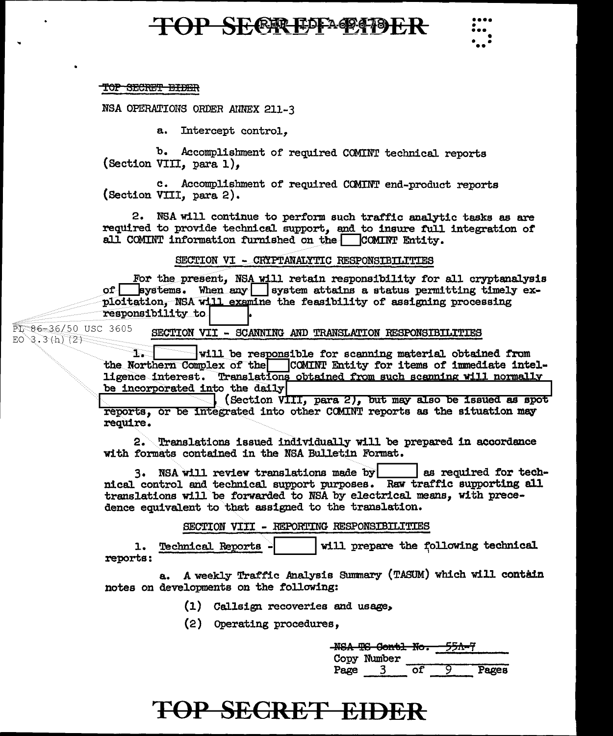### **TOP SECREPE APPED ER**

#### TOP SECRET EIDER

NSA OPERATIONS ORDER ANNEX 211-3

a. Intercept control.

b. Accomplishment of required COMINT technical reports (Section VIII, para 1).

c. Accomplishment of required COMINT end-product reports (Section VIII, para 2).

2. NSA will continue to perform such traffic analytic tasks as are required to provide technical support, and to insure full integration of all COMINT information furnished on the COMINT Entity.

SECTION VI - CRYPTANALYTIC RESPONSIBILITIES

For the present, NSA will retain responsibility for all cryptanalysis of systems. When any system attains a status permitting timely exploitation, NSA will examine the feasibility of assigning processing responsibility to

PI 86-36/50 USC 3605 SECTION VII - SCANNING AND TRANSLATION RESPONSIBILITIES  $EO^3.3(h) (2)$ 

> ${\bf T}$  . will be responsible for scanning material obtained from the Northern Complex of the COMINT Entity for items of immediate intelligence interest. Translations obtained from such scanning will normally be incorporated into the daily

> $\Box$  (Section  $\overline{VIII}$ , para 2), but may also be issued as spot reports, or be integrated into other COMINT reports as the situation may require.

2. Translations issued individually will be prepared in accordance with formats contained in the NSA Bulletin Format.

3. NSA will review translations made by as required for technical control and technical support purposes. Raw traffic supporting all translations will be forwarded to NSA by electrical means, with precedence equivalent to that assigned to the translation.

SECTION VIII - REPORTING RESPONSIBILITIES

will prepare the following technical Technical Reports -1. reports:

A weekly Traffic Analysis Summary (TASUM) which will contain a. notes on developments on the following:

- (1) Callsign recoveries and usage,
- (2) Operating procedures,

|      | MCA MC Cambi                 | $\mathbf{M}$ | <del>55A–7</del> |       |
|------|------------------------------|--------------|------------------|-------|
|      | n <del>on 10 varur no.</del> |              |                  |       |
|      | Copy Number                  |              |                  |       |
| Page |                              | оf           |                  | Pages |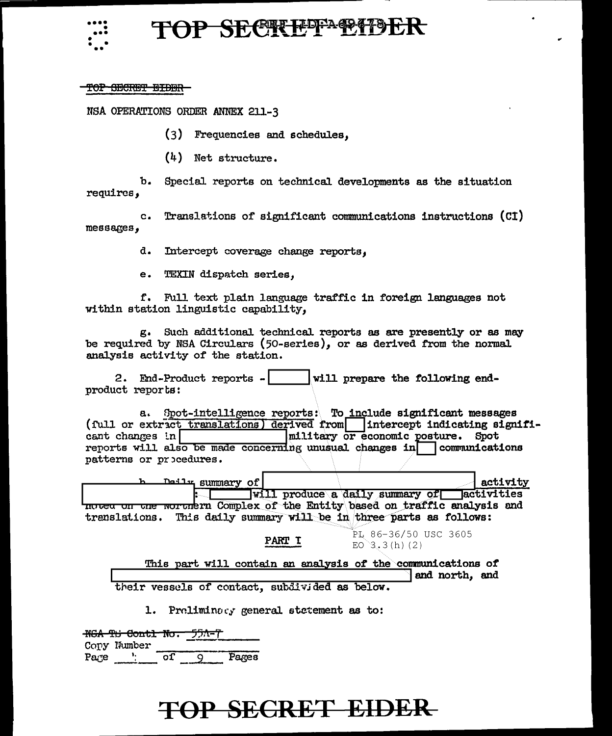

### **SECRUPPAGETS**

#### <del>TOP SECRET EIDER</del>

NSA OPERATIONS ORDER ANNEX 211-3

(3) Frequencies and schedules.

 $(4)$  Net structure.

Special reports on technical developments as the situation ъ. requires.

Translations of significant communications instructions (CI)  $c_{\bullet}$  $mesa*ges*$ ,

d. Intercept coverage change reports,

e. TEXIN dispatch series,

f. Full text plain language traffic in foreign languages not within station linguistic capability,

g. Such additional technical reports as are presently or as may be required by NSA Circulars (50-series), or as derived from the normal analysis activity of the station.

2. End-Product reports - will prepare the following endproduct reports:

a. Spot-intelligence reports: To include significant messages (full or extract translations) derived from intercept indicating signifimilitary or economic posture. Spot  $\frac{1}{2}$  changes in reports will also be made concerning unusual changes in communications patterns or procedures.

Deily summary of activity will produce a daily summary of activities moted on the worthern Complex of the Entity based on traffic analysis and trenslations. This daily summary will be in three parts as follows:

PART I

PL 86-36/50 USC 3605  $EO$  3.3(h)(2)

This part will contain an analysis of the communications of and north, and

their vessels of contact, subdivided as below.

1. Preliminacy general statement as to:

NGA TH Contl No. 55A=7 Copy Number Page '  $or$  9 Pages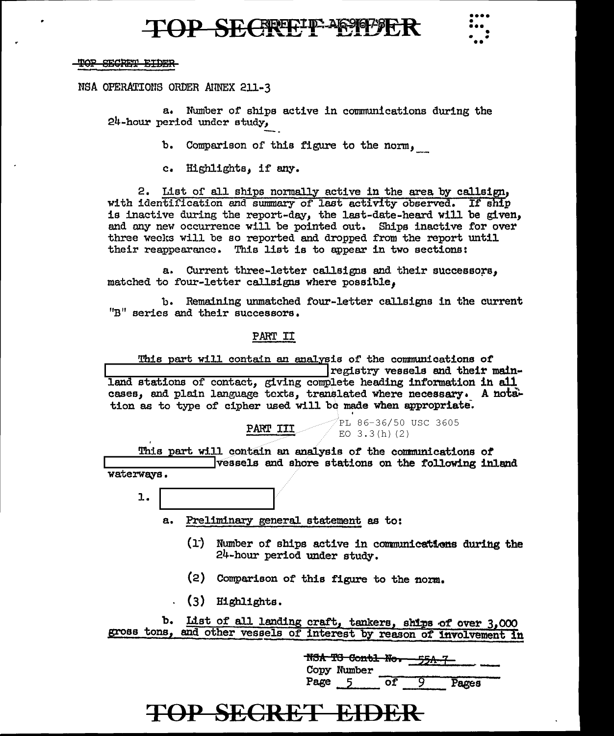### **D SECREEFID-AG9101-912**



TOP SECRET EIDER

NSA OPERATIONS ORDER ANNEX 211-3

Number of ships active in communications during the a. 24-hour period under study,

> Comparison of this figure to the norm, ъ.

c. Highlights, if any.

2. List of all ships normally active in the area by callsign, with identification and summary of last activity observed. If ship is inactive during the report-day, the last-date-heard will be given, and any new occurrence will be pointed out. Ships inactive for over three weeks will be so reported and dropped from the report until their reappearance. This list is to appear in two sections:

a. Current three-letter callsigns and their successors, matched to four-letter callsigns where possible.

b. Remaining unmatched four-letter callsigns in the current "B" series and their successors.

#### **PART II**

This part will contain an analysis of the communications of registry vessels and their mainland stations of contact, giving complete heading information in all cases, and plain language texts, translated where necessary. A notation as to type of cipher used will be made when appropriate.

> PL 86-36/50 USC 3605 PART III EO  $3.3(h)(2)$

This part will contain an analysis of the communications of vessels and shore stations on the following inland waterways.

- $1.$ 
	- Preliminary general statement as to: a.
		- (1) Number of ships active in communications during the 24-hour period under study.
		- (2) Comparison of this figure to the norm.
		- $(3)$  Highlights.

b. List of all landing craft, tankers, ships of over 3,000 gross tons, and other vessels of interest by reason of involvement in

|      | N <del>SA TG Contl No.</del> |  |       |  |
|------|------------------------------|--|-------|--|
|      | Copy Number                  |  |       |  |
| Page |                              |  | Pages |  |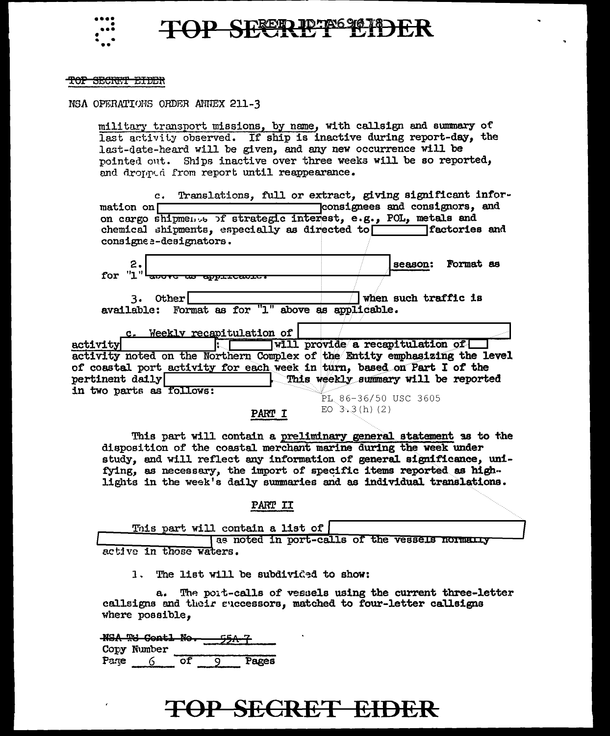



#### TOP SECRET EIDER

NSA OPERATIONS ORDER ANNEX 211-3

military transport missions, by name, with callsign and summary of last activity observed. If ship is inactive during report-day, the last-date-heard will be given, and any new occurrence will be pointed out. Ships inactive over three weeks will be so reported, and dronned from report until reappearance.

c. Translations, full or extract, giving significant inforconsignees and consignors. and mation on  $\Gamma$ on cargo shipmens of strategic interest. e.g., POL, metals and chemical shipments, especially as directed to factories and consigne a-designators.  $\overline{2}$ Format as season: for "1" andrication and 3. Other when such traffic is available: Format as for "1" above as applicable. c. Weekly recapitulation of will provide a recapitulation of activity activity noted on the Northern Complex of the Entity emphasizing the level of coastal port activity for each week in turn, based on Part I of the  $pertinent$  daily This weekly summary will be reported in two parts as follows: PL 86-36/50 USC 3605

PART I

EO  $3,3(h)$  (2)

This part will contain a preliminary general statement as to the disposition of the coastal merchant marine during the week under study, and will reflect any information of general significance, unifying, as necessary, the import of specific items reported as highlights in the week's daily summaries and as individual translations.

PART II

This part will contain a list of

as noted in port-calls of the vessels normally active in those waters.

1. The list will be subdivided to show:

The port-calls of vessels using the current three-letter  $a_{\bullet}$ callsigns and their successors, matched to four-letter callsigns where possible,

NSA TG Contl No. Copy Number  $\overline{of}$ ਕ Page 6 Pages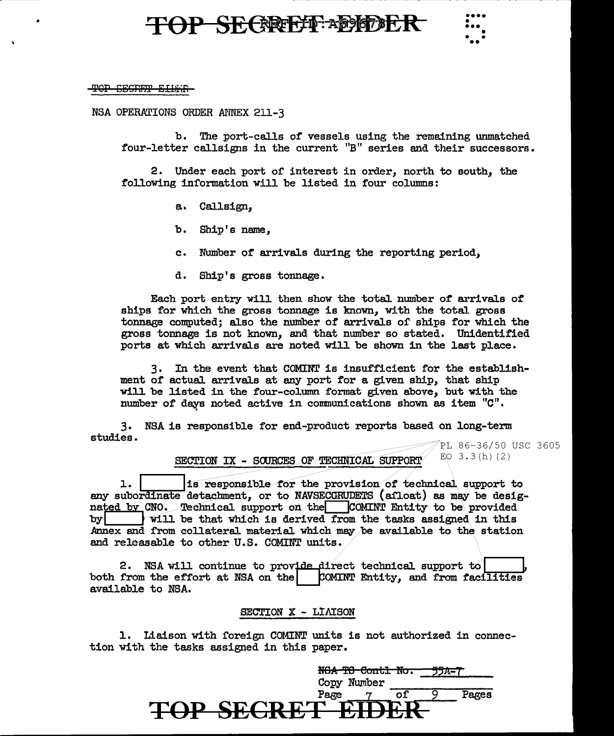### OP SECREEF ADEDEF



#### T<del>OP CESNET EILET</del>

NSA OPERATIONS ORDER ANNEX 211-3

b. The port-calls of vessels using the remaining unmatched four-letter callsigns in the current "B" series and their successors.

2. Under each port of interest in order, north to south, the following information will be listed in four columns:

- a. Callsign,
- b. Ship's name,
- c. Number of arrivals during the reporting period,
- d. Ship's gross tonnage.

Each port entry will then show the total number of arrivals of ships for which the gross tonnage is known, with the total gross tonnage computed; also the number of arrivals of ships for which the gross tonnage is not known, and that munber so stated. Unidentified ports at which arrivals are noted will be shown in the last place.

3. In the event that COMINT is insufficient for the establishment of actual arrivals at any port for a given ship, that ship will be listed in the four-column format given above, but with the number of days noted active in communications shown as item "C".

3. studies. NSA is responsible for end-product reports based on long-term

PL 86-36/50 USC 3605  $EO$  3.3(h)(2)

#### SECTION IX - SOURCES OF TECHNICAL SUPPORT

1. Its responsible for the provision of technical support to any subordinate detachment, or to NAVSECGRUDETS (afloat) as may be designated by CNO. Technical support on the COMINT Entity to be provided by  $|w|$  will be that which is derived from the tasks assigned in this Annex and from collateral material which may be available to the station and releasable to other U.S. COMINT units.

2. NSA will continue to provide direct technical support to both from the effort at NSA on the  $\vert$  COMINT Entity, and from facilities available to NSA.

#### SECTION X - LIAISON

1. Liaison with foreign COMINT units is not authorized in connection with the tasks assigned in this paper.

|                         | TON TO CONGI NO.<br>Copy Number |  |     |
|-------------------------|---------------------------------|--|-----|
|                         | Page                            |  | Æеs |
| <b>TOP SECRET EIDER</b> |                                 |  |     |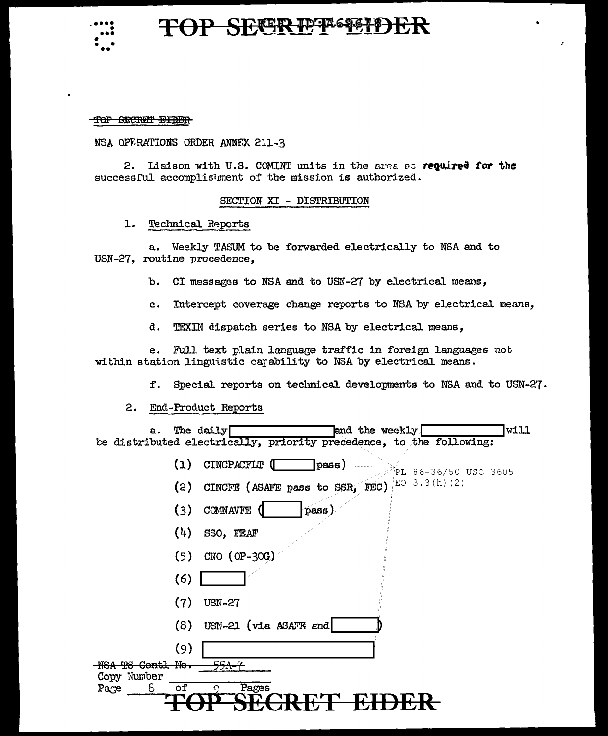

### **TOP SEER PPASSIDE**

TOP SECRET BIDER

NSA OPFRATIONS ORDER ANNEX 211-3

2. Liaison with U.S. COMINT units in the area as required for the successful accomplishment of the mission is authorized.

#### SECTION XI - DISTRIBUTION

1. Technical Reports

a. Weekly TASUM to be forwarded electrically to NSA and to USN-27, routine precedence.

- CI messages to NSA and to USN-27 by electrical means, **b.**
- Intercept coverage change reports to NSA by electrical means,  $c_{\bullet}$
- d. TEXIN dispatch series to NSA by electrical means,

 $e_{\bullet}$ Full text plain language traffic in foreign languages not within station linguistic carability to NSA by electrical means.

f. Special reports on technical developments to NSA and to USN-27.

2. End-Product Reports

and the weekly The daily lvill a. be distributed electrically, priority precedence, to the following:

| (1)                          | <b>CINCPACFLT</b><br>pass)<br>PL 86-36/50 USC 3605 |
|------------------------------|----------------------------------------------------|
| (2)                          | EO 3.3(h) (2)<br>CINCFE (ASAFE pass to SSR, FEC)   |
| (3)                          | <b>COMNAVFE</b><br>pass                            |
| (4)                          | SSO, FEAF                                          |
| (5)                          | $CNO$ (OP-30G)                                     |
| (6)                          |                                                    |
| (7)                          | <b>USN-27</b>                                      |
| (8)                          | USN-21 (via ASAFF and                              |
| (9)                          |                                                    |
| ₩e–<br><del>Contl</del><br>m | <del>55A-7</del>                                   |
| Copy Number<br>оf            | Pages<br>ິ                                         |
| δ<br>Page                    |                                                    |
|                              |                                                    |